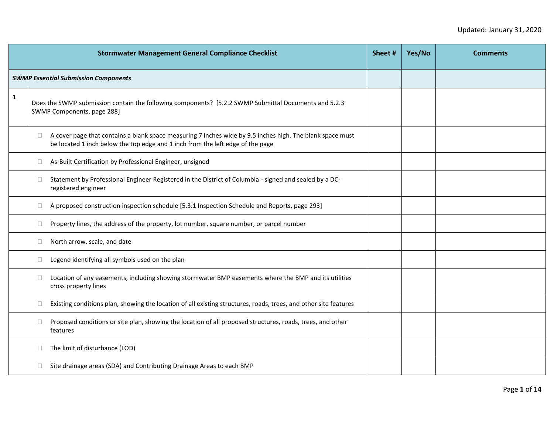|              |        | <b>Stormwater Management General Compliance Checklist</b>                                                                                                                                   | Sheet # | Yes/No | <b>Comments</b> |
|--------------|--------|---------------------------------------------------------------------------------------------------------------------------------------------------------------------------------------------|---------|--------|-----------------|
|              |        | <b>SWMP Essential Submission Components</b>                                                                                                                                                 |         |        |                 |
| $\mathbf{1}$ |        | Does the SWMP submission contain the following components? [5.2.2 SWMP Submittal Documents and 5.2.3<br>SWMP Components, page 288]                                                          |         |        |                 |
|              | $\Box$ | A cover page that contains a blank space measuring 7 inches wide by 9.5 inches high. The blank space must<br>be located 1 inch below the top edge and 1 inch from the left edge of the page |         |        |                 |
|              | $\Box$ | As-Built Certification by Professional Engineer, unsigned                                                                                                                                   |         |        |                 |
|              | $\Box$ | Statement by Professional Engineer Registered in the District of Columbia - signed and sealed by a DC-<br>registered engineer                                                               |         |        |                 |
|              | $\Box$ | A proposed construction inspection schedule [5.3.1 Inspection Schedule and Reports, page 293]                                                                                               |         |        |                 |
|              | $\Box$ | Property lines, the address of the property, lot number, square number, or parcel number                                                                                                    |         |        |                 |
|              | $\Box$ | North arrow, scale, and date                                                                                                                                                                |         |        |                 |
|              | $\Box$ | Legend identifying all symbols used on the plan                                                                                                                                             |         |        |                 |
|              | $\Box$ | Location of any easements, including showing stormwater BMP easements where the BMP and its utilities<br>cross property lines                                                               |         |        |                 |
|              | $\Box$ | Existing conditions plan, showing the location of all existing structures, roads, trees, and other site features                                                                            |         |        |                 |
|              | $\Box$ | Proposed conditions or site plan, showing the location of all proposed structures, roads, trees, and other<br>features                                                                      |         |        |                 |
|              | $\Box$ | The limit of disturbance (LOD)                                                                                                                                                              |         |        |                 |
|              | $\Box$ | Site drainage areas (SDA) and Contributing Drainage Areas to each BMP                                                                                                                       |         |        |                 |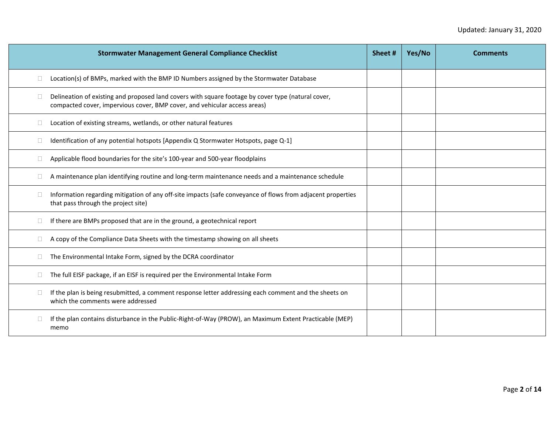| <b>Stormwater Management General Compliance Checklist</b>                                                                                                                       | Sheet# | Yes/No | <b>Comments</b> |
|---------------------------------------------------------------------------------------------------------------------------------------------------------------------------------|--------|--------|-----------------|
| Location(s) of BMPs, marked with the BMP ID Numbers assigned by the Stormwater Database<br>$\Box$                                                                               |        |        |                 |
| Delineation of existing and proposed land covers with square footage by cover type (natural cover,<br>compacted cover, impervious cover, BMP cover, and vehicular access areas) |        |        |                 |
| Location of existing streams, wetlands, or other natural features                                                                                                               |        |        |                 |
| Identification of any potential hotspots [Appendix Q Stormwater Hotspots, page Q-1]                                                                                             |        |        |                 |
| Applicable flood boundaries for the site's 100-year and 500-year floodplains                                                                                                    |        |        |                 |
| A maintenance plan identifying routine and long-term maintenance needs and a maintenance schedule                                                                               |        |        |                 |
| Information regarding mitigation of any off-site impacts (safe conveyance of flows from adjacent properties<br>that pass through the project site)                              |        |        |                 |
| If there are BMPs proposed that are in the ground, a geotechnical report                                                                                                        |        |        |                 |
| A copy of the Compliance Data Sheets with the timestamp showing on all sheets                                                                                                   |        |        |                 |
| The Environmental Intake Form, signed by the DCRA coordinator                                                                                                                   |        |        |                 |
| The full EISF package, if an EISF is required per the Environmental Intake Form                                                                                                 |        |        |                 |
| If the plan is being resubmitted, a comment response letter addressing each comment and the sheets on<br>$\Box$<br>which the comments were addressed                            |        |        |                 |
| If the plan contains disturbance in the Public-Right-of-Way (PROW), an Maximum Extent Practicable (MEP)<br>memo                                                                 |        |        |                 |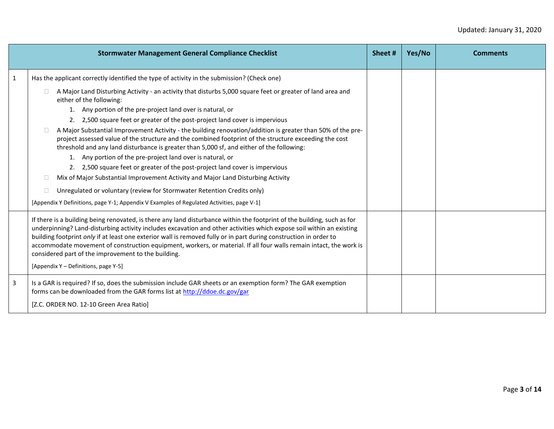|                | <b>Stormwater Management General Compliance Checklist</b>                                                                                                                                                                                                                                                                                                                                                                                                                                                                                                                                                                                                                                                                              | Sheet # | Yes/No | <b>Comments</b> |
|----------------|----------------------------------------------------------------------------------------------------------------------------------------------------------------------------------------------------------------------------------------------------------------------------------------------------------------------------------------------------------------------------------------------------------------------------------------------------------------------------------------------------------------------------------------------------------------------------------------------------------------------------------------------------------------------------------------------------------------------------------------|---------|--------|-----------------|
| $\mathbf{1}$   | Has the applicant correctly identified the type of activity in the submission? (Check one)<br>A Major Land Disturbing Activity - an activity that disturbs 5,000 square feet or greater of land area and<br>П.<br>either of the following:<br>1. Any portion of the pre-project land over is natural, or<br>2. 2,500 square feet or greater of the post-project land cover is impervious                                                                                                                                                                                                                                                                                                                                               |         |        |                 |
|                | A Major Substantial Improvement Activity - the building renovation/addition is greater than 50% of the pre-<br>project assessed value of the structure and the combined footprint of the structure exceeding the cost<br>threshold and any land disturbance is greater than 5,000 sf, and either of the following:<br>1. Any portion of the pre-project land over is natural, or<br>2. 2,500 square feet or greater of the post-project land cover is impervious<br>Mix of Major Substantial Improvement Activity and Major Land Disturbing Activity<br>Unregulated or voluntary (review for Stormwater Retention Credits only)<br>$\Box$<br>[Appendix Y Definitions, page Y-1; Appendix V Examples of Regulated Activities, page V-1] |         |        |                 |
|                | If there is a building being renovated, is there any land disturbance within the footprint of the building, such as for<br>underpinning? Land-disturbing activity includes excavation and other activities which expose soil within an existing<br>building footprint only if at least one exterior wall is removed fully or in part during construction in order to<br>accommodate movement of construction equipment, workers, or material. If all four walls remain intact, the work is<br>considered part of the improvement to the building.<br>[Appendix Y - Definitions, page Y-5]                                                                                                                                              |         |        |                 |
| $\overline{3}$ | Is a GAR is required? If so, does the submission include GAR sheets or an exemption form? The GAR exemption<br>forms can be downloaded from the GAR forms list at http://ddoe.dc.gov/gar<br>[Z.C. ORDER NO. 12-10 Green Area Ratio]                                                                                                                                                                                                                                                                                                                                                                                                                                                                                                    |         |        |                 |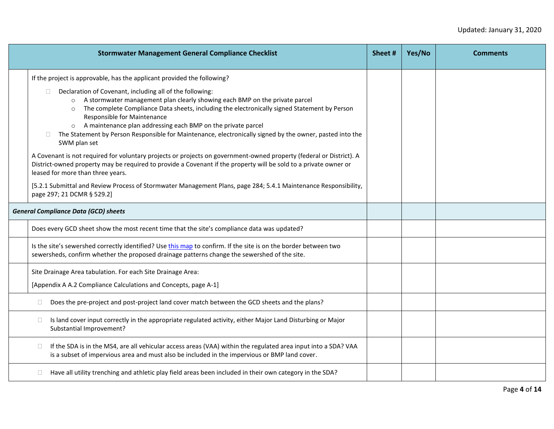| <b>Stormwater Management General Compliance Checklist</b>                                                                                                                                                                                                                                                                                                                                                                                                                                                     | Sheet # | Yes/No | <b>Comments</b> |
|---------------------------------------------------------------------------------------------------------------------------------------------------------------------------------------------------------------------------------------------------------------------------------------------------------------------------------------------------------------------------------------------------------------------------------------------------------------------------------------------------------------|---------|--------|-----------------|
| If the project is approvable, has the applicant provided the following?                                                                                                                                                                                                                                                                                                                                                                                                                                       |         |        |                 |
| Declaration of Covenant, including all of the following:<br>$\Box$<br>A stormwater management plan clearly showing each BMP on the private parcel<br>$\circ$<br>The complete Compliance Data sheets, including the electronically signed Statement by Person<br>$\circ$<br>Responsible for Maintenance<br>A maintenance plan addressing each BMP on the private parcel<br>$\circ$<br>The Statement by Person Responsible for Maintenance, electronically signed by the owner, pasted into the<br>SWM plan set |         |        |                 |
| A Covenant is not required for voluntary projects or projects on government-owned property (federal or District). A<br>District-owned property may be required to provide a Covenant if the property will be sold to a private owner or<br>leased for more than three years.                                                                                                                                                                                                                                  |         |        |                 |
| [5.2.1 Submittal and Review Process of Stormwater Management Plans, page 284; 5.4.1 Maintenance Responsibility,<br>page 297; 21 DCMR § 529.2]                                                                                                                                                                                                                                                                                                                                                                 |         |        |                 |
| <b>General Compliance Data (GCD) sheets</b>                                                                                                                                                                                                                                                                                                                                                                                                                                                                   |         |        |                 |
| Does every GCD sheet show the most recent time that the site's compliance data was updated?                                                                                                                                                                                                                                                                                                                                                                                                                   |         |        |                 |
| Is the site's sewershed correctly identified? Use this map to confirm. If the site is on the border between two<br>sewersheds, confirm whether the proposed drainage patterns change the sewershed of the site.                                                                                                                                                                                                                                                                                               |         |        |                 |
| Site Drainage Area tabulation. For each Site Drainage Area:                                                                                                                                                                                                                                                                                                                                                                                                                                                   |         |        |                 |
| [Appendix A A.2 Compliance Calculations and Concepts, page A-1]                                                                                                                                                                                                                                                                                                                                                                                                                                               |         |        |                 |
| Does the pre-project and post-project land cover match between the GCD sheets and the plans?<br>$\Box$                                                                                                                                                                                                                                                                                                                                                                                                        |         |        |                 |
| Is land cover input correctly in the appropriate regulated activity, either Major Land Disturbing or Major<br>$\Box$<br>Substantial Improvement?                                                                                                                                                                                                                                                                                                                                                              |         |        |                 |
| If the SDA is in the MS4, are all vehicular access areas (VAA) within the regulated area input into a SDA? VAA<br>$\Box$<br>is a subset of impervious area and must also be included in the impervious or BMP land cover.                                                                                                                                                                                                                                                                                     |         |        |                 |
| Have all utility trenching and athletic play field areas been included in their own category in the SDA?                                                                                                                                                                                                                                                                                                                                                                                                      |         |        |                 |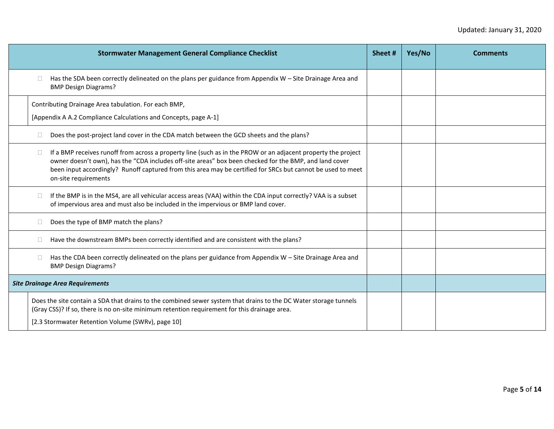|                                        | <b>Stormwater Management General Compliance Checklist</b>                                                                                                                                                                                                                                                                              | Sheet # | Yes/No | <b>Comments</b> |
|----------------------------------------|----------------------------------------------------------------------------------------------------------------------------------------------------------------------------------------------------------------------------------------------------------------------------------------------------------------------------------------|---------|--------|-----------------|
| <b>BMP Design Diagrams?</b>            | Has the SDA been correctly delineated on the plans per guidance from Appendix W - Site Drainage Area and                                                                                                                                                                                                                               |         |        |                 |
|                                        | Contributing Drainage Area tabulation. For each BMP,                                                                                                                                                                                                                                                                                   |         |        |                 |
|                                        | [Appendix A A.2 Compliance Calculations and Concepts, page A-1]                                                                                                                                                                                                                                                                        |         |        |                 |
|                                        | Does the post-project land cover in the CDA match between the GCD sheets and the plans?                                                                                                                                                                                                                                                |         |        |                 |
| on-site requirements                   | If a BMP receives runoff from across a property line (such as in the PROW or an adjacent property the project<br>owner doesn't own), has the "CDA includes off-site areas" box been checked for the BMP, and land cover<br>been input accordingly? Runoff captured from this area may be certified for SRCs but cannot be used to meet |         |        |                 |
|                                        | If the BMP is in the MS4, are all vehicular access areas (VAA) within the CDA input correctly? VAA is a subset<br>of impervious area and must also be included in the impervious or BMP land cover.                                                                                                                                    |         |        |                 |
|                                        | Does the type of BMP match the plans?                                                                                                                                                                                                                                                                                                  |         |        |                 |
|                                        | Have the downstream BMPs been correctly identified and are consistent with the plans?                                                                                                                                                                                                                                                  |         |        |                 |
| <b>BMP Design Diagrams?</b>            | Has the CDA been correctly delineated on the plans per guidance from Appendix W - Site Drainage Area and                                                                                                                                                                                                                               |         |        |                 |
| <b>Site Drainage Area Requirements</b> |                                                                                                                                                                                                                                                                                                                                        |         |        |                 |
|                                        | Does the site contain a SDA that drains to the combined sewer system that drains to the DC Water storage tunnels<br>(Gray CSS)? If so, there is no on-site minimum retention requirement for this drainage area.<br>[2.3 Stormwater Retention Volume (SWRv), page 10]                                                                  |         |        |                 |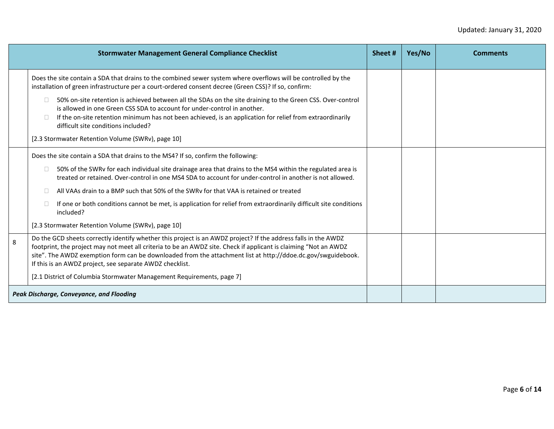|   | <b>Stormwater Management General Compliance Checklist</b>                                                                                                                                                                                                                                                                                                                                                      | Sheet # | Yes/No | <b>Comments</b> |
|---|----------------------------------------------------------------------------------------------------------------------------------------------------------------------------------------------------------------------------------------------------------------------------------------------------------------------------------------------------------------------------------------------------------------|---------|--------|-----------------|
|   | Does the site contain a SDA that drains to the combined sewer system where overflows will be controlled by the<br>installation of green infrastructure per a court-ordered consent decree (Green CSS)? If so, confirm:                                                                                                                                                                                         |         |        |                 |
|   | 50% on-site retention is achieved between all the SDAs on the site draining to the Green CSS. Over-control<br>is allowed in one Green CSS SDA to account for under-control in another.<br>If the on-site retention minimum has not been achieved, is an application for relief from extraordinarily<br>difficult site conditions included?<br>[2.3 Stormwater Retention Volume (SWRv), page 10]                |         |        |                 |
|   | Does the site contain a SDA that drains to the MS4? If so, confirm the following:                                                                                                                                                                                                                                                                                                                              |         |        |                 |
|   | 50% of the SWRv for each individual site drainage area that drains to the MS4 within the regulated area is<br>treated or retained. Over-control in one MS4 SDA to account for under-control in another is not allowed.                                                                                                                                                                                         |         |        |                 |
|   | All VAAs drain to a BMP such that 50% of the SWRy for that VAA is retained or treated                                                                                                                                                                                                                                                                                                                          |         |        |                 |
|   | If one or both conditions cannot be met, is application for relief from extraordinarily difficult site conditions<br>included?                                                                                                                                                                                                                                                                                 |         |        |                 |
|   | [2.3 Stormwater Retention Volume (SWRv), page 10]                                                                                                                                                                                                                                                                                                                                                              |         |        |                 |
| 8 | Do the GCD sheets correctly identify whether this project is an AWDZ project? If the address falls in the AWDZ<br>footprint, the project may not meet all criteria to be an AWDZ site. Check if applicant is claiming "Not an AWDZ<br>site". The AWDZ exemption form can be downloaded from the attachment list at http://ddoe.dc.gov/swguidebook.<br>If this is an AWDZ project, see separate AWDZ checklist. |         |        |                 |
|   | [2.1 District of Columbia Stormwater Management Requirements, page 7]                                                                                                                                                                                                                                                                                                                                          |         |        |                 |
|   | Peak Discharge, Conveyance, and Flooding                                                                                                                                                                                                                                                                                                                                                                       |         |        |                 |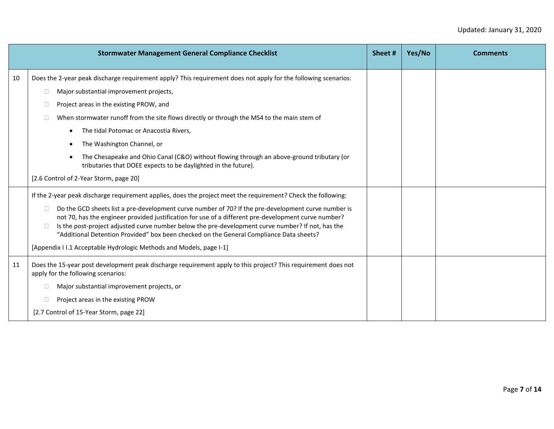|    | <b>Stormwater Management General Compliance Checklist</b>                                                                                                                                                                                                                                                                                                                                                                                                                                                                                                                                                               | Sheet# | Yes/No | <b>Comments</b> |
|----|-------------------------------------------------------------------------------------------------------------------------------------------------------------------------------------------------------------------------------------------------------------------------------------------------------------------------------------------------------------------------------------------------------------------------------------------------------------------------------------------------------------------------------------------------------------------------------------------------------------------------|--------|--------|-----------------|
| 10 | Does the 2-year peak discharge requirement apply? This requirement does not apply for the following scenarios:<br>Major substantial improvement projects,<br>$\Box$<br>Project areas in the existing PROW, and<br>$\Box$<br>When stormwater runoff from the site flows directly or through the MS4 to the main stem of<br>$\Box$<br>The tidal Potomac or Anacostia Rivers,<br>The Washington Channel, or<br>The Chesapeake and Ohio Canal (C&O) without flowing through an above-ground tributary (or<br>tributaries that DOEE expects to be daylighted in the future).<br>[2.6 Control of 2-Year Storm, page 20]       |        |        |                 |
|    | If the 2-year peak discharge requirement applies, does the project meet the requirement? Check the following:<br>Do the GCD sheets list a pre-development curve number of 70? If the pre-development curve number is<br>$\Box$<br>not 70, has the engineer provided justification for use of a different pre-development curve number?<br>Is the post-project adjusted curve number below the pre-development curve number? If not, has the<br>$\Box$<br>"Additional Detention Provided" box been checked on the General Compliance Data sheets?<br>[Appendix I I.1 Acceptable Hydrologic Methods and Models, page I-1] |        |        |                 |
| 11 | Does the 15-year post development peak discharge requirement apply to this project? This requirement does not<br>apply for the following scenarios:<br>Major substantial improvement projects, or<br>Project areas in the existing PROW<br>[2.7 Control of 15-Year Storm, page 22]                                                                                                                                                                                                                                                                                                                                      |        |        |                 |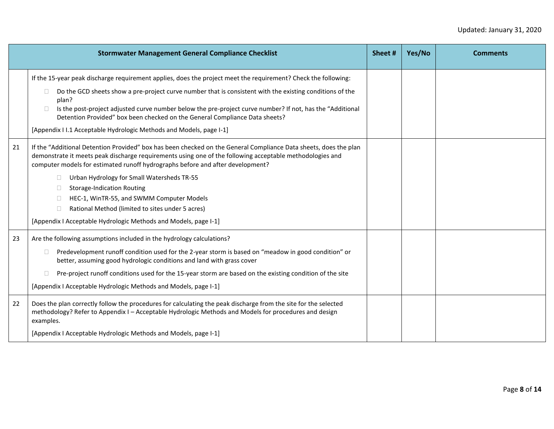|    | <b>Stormwater Management General Compliance Checklist</b>                                                                                                                                                                                                                                                                                                                                                                                                                                                                                                                       | Sheet # | Yes/No | <b>Comments</b> |
|----|---------------------------------------------------------------------------------------------------------------------------------------------------------------------------------------------------------------------------------------------------------------------------------------------------------------------------------------------------------------------------------------------------------------------------------------------------------------------------------------------------------------------------------------------------------------------------------|---------|--------|-----------------|
|    | If the 15-year peak discharge requirement applies, does the project meet the requirement? Check the following:<br>Do the GCD sheets show a pre-project curve number that is consistent with the existing conditions of the<br>$\Box$<br>plan?<br>Is the post-project adjusted curve number below the pre-project curve number? If not, has the "Additional<br>$\Box$<br>Detention Provided" box been checked on the General Compliance Data sheets?<br>[Appendix I I.1 Acceptable Hydrologic Methods and Models, page I-1]                                                      |         |        |                 |
| 21 | If the "Additional Detention Provided" box has been checked on the General Compliance Data sheets, does the plan<br>demonstrate it meets peak discharge requirements using one of the following acceptable methodologies and<br>computer models for estimated runoff hydrographs before and after development?<br>Urban Hydrology for Small Watersheds TR-55<br>$\Box$<br><b>Storage-Indication Routing</b><br>HEC-1, WinTR-55, and SWMM Computer Models<br>Rational Method (limited to sites under 5 acres)<br>[Appendix I Acceptable Hydrologic Methods and Models, page I-1] |         |        |                 |
| 23 | Are the following assumptions included in the hydrology calculations?<br>Predevelopment runoff condition used for the 2-year storm is based on "meadow in good condition" or<br>$\Box$<br>better, assuming good hydrologic conditions and land with grass cover<br>Pre-project runoff conditions used for the 15-year storm are based on the existing condition of the site<br>П.<br>[Appendix I Acceptable Hydrologic Methods and Models, page I-1]                                                                                                                            |         |        |                 |
| 22 | Does the plan correctly follow the procedures for calculating the peak discharge from the site for the selected<br>methodology? Refer to Appendix I - Acceptable Hydrologic Methods and Models for procedures and design<br>examples.<br>[Appendix I Acceptable Hydrologic Methods and Models, page I-1]                                                                                                                                                                                                                                                                        |         |        |                 |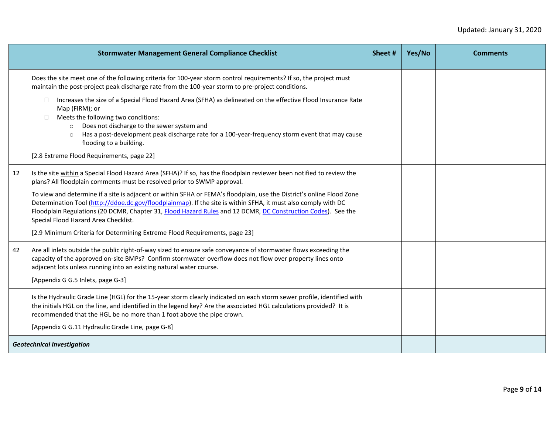|    | <b>Stormwater Management General Compliance Checklist</b>                                                                                                                                                                                                                                                                                                                                                           | Sheet# | Yes/No | <b>Comments</b> |
|----|---------------------------------------------------------------------------------------------------------------------------------------------------------------------------------------------------------------------------------------------------------------------------------------------------------------------------------------------------------------------------------------------------------------------|--------|--------|-----------------|
|    | Does the site meet one of the following criteria for 100-year storm control requirements? If so, the project must<br>maintain the post-project peak discharge rate from the 100-year storm to pre-project conditions.                                                                                                                                                                                               |        |        |                 |
|    | Increases the size of a Special Flood Hazard Area (SFHA) as delineated on the effective Flood Insurance Rate<br>Map (FIRM); or<br>Meets the following two conditions:<br>Does not discharge to the sewer system and<br>$\circ$<br>Has a post-development peak discharge rate for a 100-year-frequency storm event that may cause<br>$\circ$<br>flooding to a building.<br>[2.8 Extreme Flood Requirements, page 22] |        |        |                 |
| 12 | Is the site within a Special Flood Hazard Area (SFHA)? If so, has the floodplain reviewer been notified to review the<br>plans? All floodplain comments must be resolved prior to SWMP approval.                                                                                                                                                                                                                    |        |        |                 |
|    | To view and determine if a site is adjacent or within SFHA or FEMA's floodplain, use the District's online Flood Zone<br>Determination Tool (http://ddoe.dc.gov/floodplainmap). If the site is within SFHA, it must also comply with DC<br>Floodplain Regulations (20 DCMR, Chapter 31, Flood Hazard Rules and 12 DCMR, DC Construction Codes). See the<br>Special Flood Hazard Area Checklist.                     |        |        |                 |
|    | [2.9 Minimum Criteria for Determining Extreme Flood Requirements, page 23]                                                                                                                                                                                                                                                                                                                                          |        |        |                 |
| 42 | Are all inlets outside the public right-of-way sized to ensure safe conveyance of stormwater flows exceeding the<br>capacity of the approved on-site BMPs? Confirm stormwater overflow does not flow over property lines onto<br>adjacent lots unless running into an existing natural water course.<br>[Appendix G G.5 Inlets, page G-3]                                                                           |        |        |                 |
|    |                                                                                                                                                                                                                                                                                                                                                                                                                     |        |        |                 |
|    | Is the Hydraulic Grade Line (HGL) for the 15-year storm clearly indicated on each storm sewer profile, identified with<br>the initials HGL on the line, and identified in the legend key? Are the associated HGL calculations provided? It is<br>recommended that the HGL be no more than 1 foot above the pipe crown.                                                                                              |        |        |                 |
|    | [Appendix G G.11 Hydraulic Grade Line, page G-8]                                                                                                                                                                                                                                                                                                                                                                    |        |        |                 |
|    | <b>Geotechnical Investigation</b>                                                                                                                                                                                                                                                                                                                                                                                   |        |        |                 |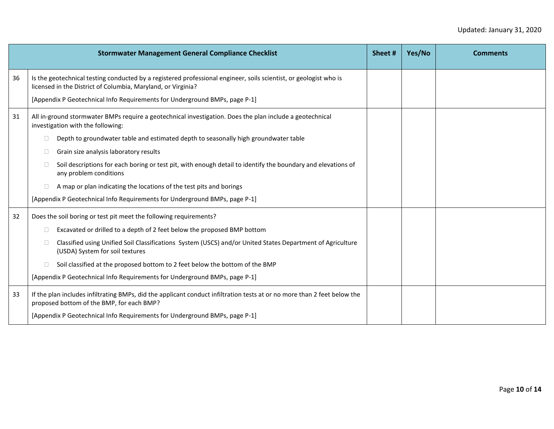|    | <b>Stormwater Management General Compliance Checklist</b>                                                                                                                         | Sheet# | Yes/No | <b>Comments</b> |
|----|-----------------------------------------------------------------------------------------------------------------------------------------------------------------------------------|--------|--------|-----------------|
| 36 | Is the geotechnical testing conducted by a registered professional engineer, soils scientist, or geologist who is<br>licensed in the District of Columbia, Maryland, or Virginia? |        |        |                 |
|    | [Appendix P Geotechnical Info Requirements for Underground BMPs, page P-1]                                                                                                        |        |        |                 |
| 31 | All in-ground stormwater BMPs require a geotechnical investigation. Does the plan include a geotechnical<br>investigation with the following:                                     |        |        |                 |
|    | Depth to groundwater table and estimated depth to seasonally high groundwater table<br>$\Box$                                                                                     |        |        |                 |
|    | Grain size analysis laboratory results<br>$\Box$                                                                                                                                  |        |        |                 |
|    | Soil descriptions for each boring or test pit, with enough detail to identify the boundary and elevations of<br>$\Box$<br>any problem conditions                                  |        |        |                 |
|    | A map or plan indicating the locations of the test pits and borings<br>$\Box$                                                                                                     |        |        |                 |
|    | [Appendix P Geotechnical Info Requirements for Underground BMPs, page P-1]                                                                                                        |        |        |                 |
| 32 | Does the soil boring or test pit meet the following requirements?                                                                                                                 |        |        |                 |
|    | Excavated or drilled to a depth of 2 feet below the proposed BMP bottom<br>$\Box$                                                                                                 |        |        |                 |
|    | Classified using Unified Soil Classifications System (USCS) and/or United States Department of Agriculture<br>$\Box$<br>(USDA) System for soil textures                           |        |        |                 |
|    | Soil classified at the proposed bottom to 2 feet below the bottom of the BMP                                                                                                      |        |        |                 |
|    | [Appendix P Geotechnical Info Requirements for Underground BMPs, page P-1]                                                                                                        |        |        |                 |
| 33 | If the plan includes infiltrating BMPs, did the applicant conduct infiltration tests at or no more than 2 feet below the<br>proposed bottom of the BMP, for each BMP?             |        |        |                 |
|    | [Appendix P Geotechnical Info Requirements for Underground BMPs, page P-1]                                                                                                        |        |        |                 |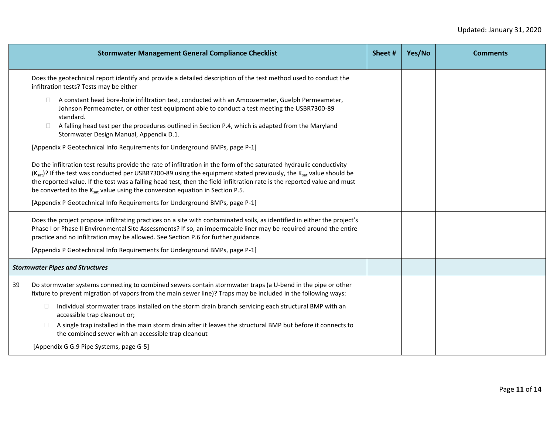|    | <b>Stormwater Management General Compliance Checklist</b>                                                                                                                                                                                                                                                                                                                                                                                                                                                                                                     | Sheet # | Yes/No | <b>Comments</b> |
|----|---------------------------------------------------------------------------------------------------------------------------------------------------------------------------------------------------------------------------------------------------------------------------------------------------------------------------------------------------------------------------------------------------------------------------------------------------------------------------------------------------------------------------------------------------------------|---------|--------|-----------------|
|    | Does the geotechnical report identify and provide a detailed description of the test method used to conduct the<br>infiltration tests? Tests may be either                                                                                                                                                                                                                                                                                                                                                                                                    |         |        |                 |
|    | A constant head bore-hole infiltration test, conducted with an Amoozemeter, Guelph Permeameter,<br>Johnson Permeameter, or other test equipment able to conduct a test meeting the USBR7300-89<br>standard.<br>A falling head test per the procedures outlined in Section P.4, which is adapted from the Maryland<br>$\Box$<br>Stormwater Design Manual, Appendix D.1.<br>[Appendix P Geotechnical Info Requirements for Underground BMPs, page P-1]                                                                                                          |         |        |                 |
|    | Do the infiltration test results provide the rate of infiltration in the form of the saturated hydraulic conductivity<br>(K <sub>sat</sub> )? If the test was conducted per USBR7300-89 using the equipment stated previously, the K <sub>sat</sub> value should be<br>the reported value. If the test was a falling head test, then the field infiltration rate is the reported value and must<br>be converted to the Ksat value using the conversion equation in Section P.5.<br>[Appendix P Geotechnical Info Requirements for Underground BMPs, page P-1] |         |        |                 |
|    | Does the project propose infiltrating practices on a site with contaminated soils, as identified in either the project's<br>Phase I or Phase II Environmental Site Assessments? If so, an impermeable liner may be required around the entire<br>practice and no infiltration may be allowed. See Section P.6 for further guidance.<br>[Appendix P Geotechnical Info Requirements for Underground BMPs, page P-1]                                                                                                                                             |         |        |                 |
|    | <b>Stormwater Pipes and Structures</b>                                                                                                                                                                                                                                                                                                                                                                                                                                                                                                                        |         |        |                 |
| 39 | Do stormwater systems connecting to combined sewers contain stormwater traps (a U-bend in the pipe or other<br>fixture to prevent migration of vapors from the main sewer line)? Traps may be included in the following ways:<br>Individual stormwater traps installed on the storm drain branch servicing each structural BMP with an<br>$\Box$<br>accessible trap cleanout or;<br>A single trap installed in the main storm drain after it leaves the structural BMP but before it connects to<br>the combined sewer with an accessible trap cleanout       |         |        |                 |
|    | [Appendix G G.9 Pipe Systems, page G-5]                                                                                                                                                                                                                                                                                                                                                                                                                                                                                                                       |         |        |                 |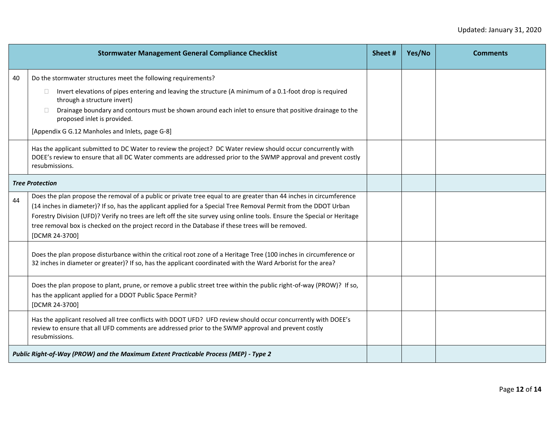|    | <b>Stormwater Management General Compliance Checklist</b>                                                                                                                                                                                                                                                                                                                                                                                                                                | Sheet# | Yes/No | <b>Comments</b> |
|----|------------------------------------------------------------------------------------------------------------------------------------------------------------------------------------------------------------------------------------------------------------------------------------------------------------------------------------------------------------------------------------------------------------------------------------------------------------------------------------------|--------|--------|-----------------|
| 40 | Do the stormwater structures meet the following requirements?<br>Invert elevations of pipes entering and leaving the structure (A minimum of a 0.1-foot drop is required<br>$\mathbf{L}$<br>through a structure invert)<br>Drainage boundary and contours must be shown around each inlet to ensure that positive drainage to the<br>$\Box$<br>proposed inlet is provided.<br>[Appendix G G.12 Manholes and Inlets, page G-8]                                                            |        |        |                 |
|    | Has the applicant submitted to DC Water to review the project? DC Water review should occur concurrently with<br>DOEE's review to ensure that all DC Water comments are addressed prior to the SWMP approval and prevent costly<br>resubmissions.                                                                                                                                                                                                                                        |        |        |                 |
|    | <b>Tree Protection</b>                                                                                                                                                                                                                                                                                                                                                                                                                                                                   |        |        |                 |
| 44 | Does the plan propose the removal of a public or private tree equal to are greater than 44 inches in circumference<br>(14 inches in diameter)? If so, has the applicant applied for a Special Tree Removal Permit from the DDOT Urban<br>Forestry Division (UFD)? Verify no trees are left off the site survey using online tools. Ensure the Special or Heritage<br>tree removal box is checked on the project record in the Database if these trees will be removed.<br>[DCMR 24-3700] |        |        |                 |
|    | Does the plan propose disturbance within the critical root zone of a Heritage Tree (100 inches in circumference or<br>32 inches in diameter or greater)? If so, has the applicant coordinated with the Ward Arborist for the area?                                                                                                                                                                                                                                                       |        |        |                 |
|    | Does the plan propose to plant, prune, or remove a public street tree within the public right-of-way (PROW)? If so,<br>has the applicant applied for a DDOT Public Space Permit?<br>[DCMR 24-3700]                                                                                                                                                                                                                                                                                       |        |        |                 |
|    | Has the applicant resolved all tree conflicts with DDOT UFD? UFD review should occur concurrently with DOEE's<br>review to ensure that all UFD comments are addressed prior to the SWMP approval and prevent costly<br>resubmissions.                                                                                                                                                                                                                                                    |        |        |                 |
|    | Public Right-of-Way (PROW) and the Maximum Extent Practicable Process (MEP) - Type 2                                                                                                                                                                                                                                                                                                                                                                                                     |        |        |                 |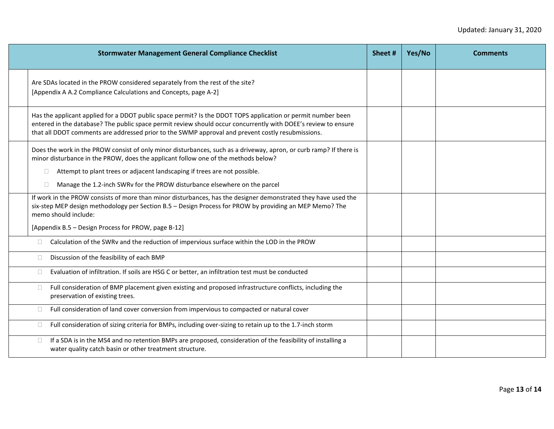| <b>Stormwater Management General Compliance Checklist</b>                                                                                                                                                                                                                                                                           | Sheet # | Yes/No | <b>Comments</b> |
|-------------------------------------------------------------------------------------------------------------------------------------------------------------------------------------------------------------------------------------------------------------------------------------------------------------------------------------|---------|--------|-----------------|
| Are SDAs located in the PROW considered separately from the rest of the site?<br>[Appendix A A.2 Compliance Calculations and Concepts, page A-2]                                                                                                                                                                                    |         |        |                 |
| Has the applicant applied for a DDOT public space permit? Is the DDOT TOPS application or permit number been<br>entered in the database? The public space permit review should occur concurrently with DOEE's review to ensure<br>that all DDOT comments are addressed prior to the SWMP approval and prevent costly resubmissions. |         |        |                 |
| Does the work in the PROW consist of only minor disturbances, such as a driveway, apron, or curb ramp? If there is<br>minor disturbance in the PROW, does the applicant follow one of the methods below?                                                                                                                            |         |        |                 |
| Attempt to plant trees or adjacent landscaping if trees are not possible.<br>Ω.<br>Manage the 1.2-inch SWRv for the PROW disturbance elsewhere on the parcel<br>П.                                                                                                                                                                  |         |        |                 |
| If work in the PROW consists of more than minor disturbances, has the designer demonstrated they have used the<br>six-step MEP design methodology per Section B.5 - Design Process for PROW by providing an MEP Memo? The<br>memo should include:                                                                                   |         |        |                 |
| [Appendix B.5 - Design Process for PROW, page B-12]                                                                                                                                                                                                                                                                                 |         |        |                 |
| Calculation of the SWRv and the reduction of impervious surface within the LOD in the PROW<br>$\Box$                                                                                                                                                                                                                                |         |        |                 |
| Discussion of the feasibility of each BMP<br>$\Box$                                                                                                                                                                                                                                                                                 |         |        |                 |
| Evaluation of infiltration. If soils are HSG C or better, an infiltration test must be conducted<br>$\Box$                                                                                                                                                                                                                          |         |        |                 |
| Full consideration of BMP placement given existing and proposed infrastructure conflicts, including the<br>$\Box$<br>preservation of existing trees.                                                                                                                                                                                |         |        |                 |
| Full consideration of land cover conversion from impervious to compacted or natural cover<br>$\Box$                                                                                                                                                                                                                                 |         |        |                 |
| Full consideration of sizing criteria for BMPs, including over-sizing to retain up to the 1.7-inch storm<br>$\Box$                                                                                                                                                                                                                  |         |        |                 |
| If a SDA is in the MS4 and no retention BMPs are proposed, consideration of the feasibility of installing a<br>$\Box$<br>water quality catch basin or other treatment structure.                                                                                                                                                    |         |        |                 |